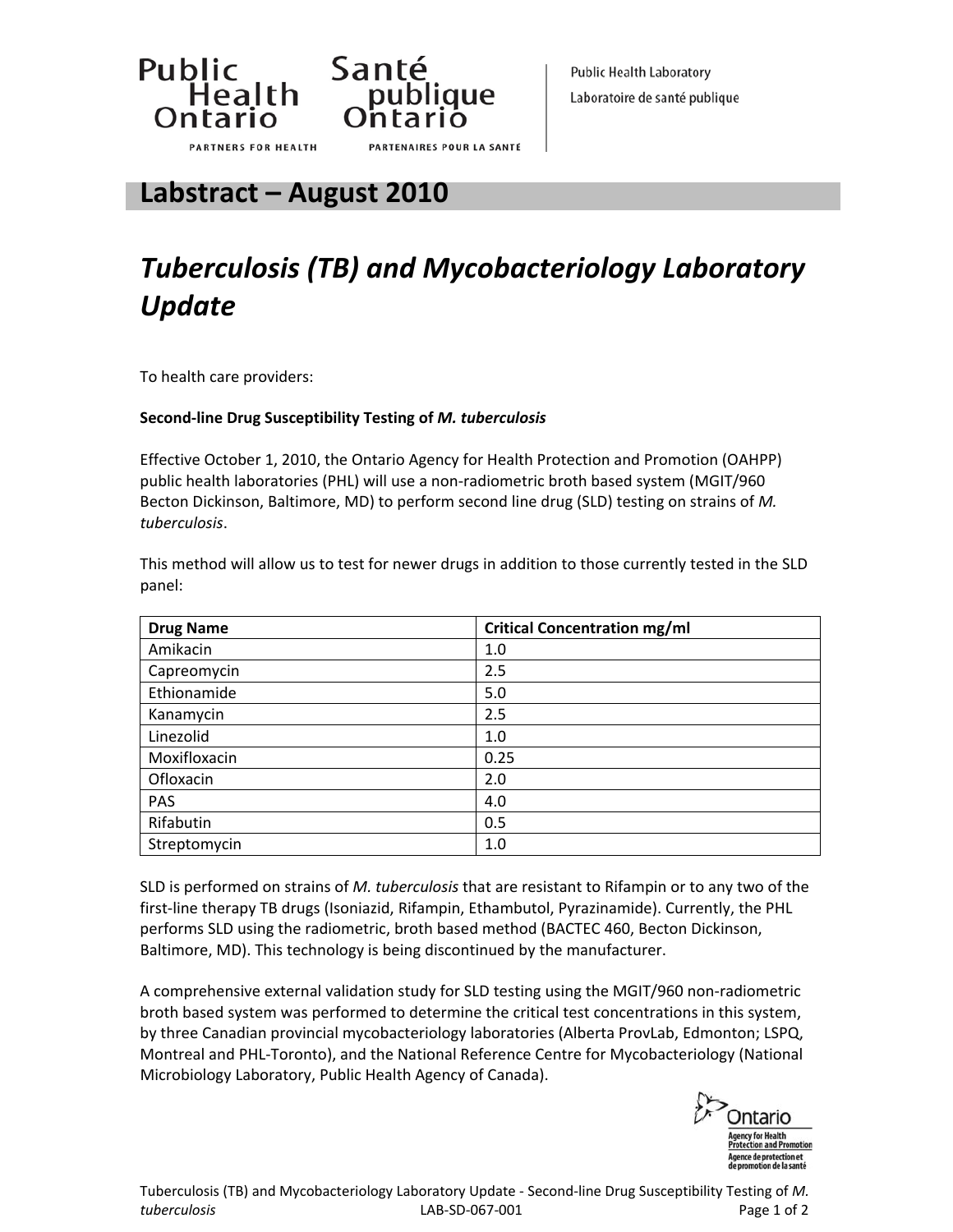



**Labstract – August 2010**

## *Tuberculosis (TB) and Mycobacteriology Laboratory Update*

To health care providers:

## **Second‐line Drug Susceptibility Testing of** *M. tuberculosis*

Effective October 1, 2010, the Ontario Agency for Health Protection and Promotion (OAHPP) public health laboratories (PHL) will use a non-radiometric broth based system (MGIT/960 Becton Dickinson, Baltimore, MD) to perform second line drug (SLD) testing on strains of *M. tuberculosis*.

This method will allow us to test for newer drugs in addition to those currently tested in the SLD panel:

| <b>Drug Name</b> | <b>Critical Concentration mg/ml</b> |
|------------------|-------------------------------------|
| Amikacin         | 1.0                                 |
| Capreomycin      | 2.5                                 |
| Ethionamide      | 5.0                                 |
| Kanamycin        | 2.5                                 |
| Linezolid        | 1.0                                 |
| Moxifloxacin     | 0.25                                |
| Ofloxacin        | 2.0                                 |
| PAS              | 4.0                                 |
| Rifabutin        | 0.5                                 |
| Streptomycin     | 1.0                                 |

SLD is performed on strains of *M. tuberculosis* that are resistant to Rifampin or to any two of the first‐line therapy TB drugs (Isoniazid, Rifampin, Ethambutol, Pyrazinamide). Currently, the PHL performs SLD using the radiometric, broth based method (BACTEC 460, Becton Dickinson, Baltimore, MD). This technology is being discontinued by the manufacturer.

A comprehensive external validation study for SLD testing using the MGIT/960 non‐radiometric broth based system was performed to determine the critical test concentrations in this system, by three Canadian provincial mycobacteriology laboratories (Alberta ProvLab, Edmonton; LSPQ, Montreal and PHL‐Toronto), and the National Reference Centre for Mycobacteriology (National Microbiology Laboratory, Public Health Agency of Canada).